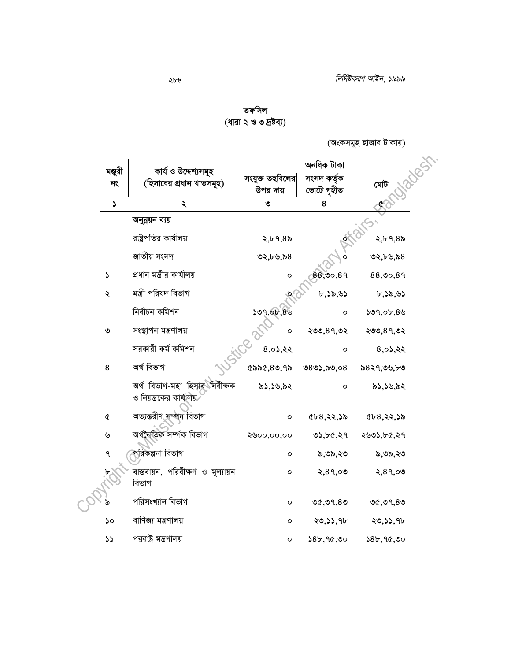| তফসিল                  |
|------------------------|
| (ধারা ২ ও ৩ দ্রষ্টব্য) |

(অংকসমূহ হাজার টাকায়)

| মঞ্জুরী               | কাৰ্য ও উদ্দেশ্যসমূহ                                      | অনধিক টাকা                  |                           |             |
|-----------------------|-----------------------------------------------------------|-----------------------------|---------------------------|-------------|
| নং                    | (হিসাবের প্রধান খাতসমূহ)                                  | সংযুক্ত তহবিলের<br>উপর দায় | সংসদ কৰ্তৃক<br>ভোটে গৃহীত | মেট         |
| J                     | ২                                                         | ৩                           | 8                         | ∙£          |
|                       | অনুন্নয়ন ব্যয়                                           |                             |                           |             |
|                       | রাষ্ট্রপতির কার্যালয়                                     | ২,৮৭,৪৯                     |                           | ২,৮৭,৪৯     |
|                       | জাতীয় সংসদ                                               | ৩২,৮৬,৯৪                    |                           | ৩২,৮৬,৯৪    |
| $\blacktriangleright$ | প্ৰধান মন্ত্ৰীর কাৰ্যালয়                                 | $\mathbf{o}$                | 88,00,89                  | 88,00,89    |
| ২                     | মন্ত্ৰী পরিষদ বিভাগ                                       |                             | b,35,93                   | b,35,95     |
|                       | নিৰ্বাচন কমিশন                                            | 509,00,80                   | $\mathbf{o}$              | 509,05,89   |
| $\circ$               | সংস্থাপন মন্ত্ৰণালয়                                      | O                           | ২৩৩,৪৭,৩২                 | ২৩৩,৪৭,৩২   |
|                       | সরকারী কর্ম কমিশন                                         | 8,02,22                     | $\circ$                   | 8,02,22     |
| 8                     | অৰ্থ বিভাগ                                                | $Q$ ৯৯ $Q$ , ৪৩, ৭৯         | ৩৪৩১,৯৩,০৪                | ৯৪২৭,৩৬,৮৩  |
|                       | অৰ্থ বিভাগ-মহা হিসার নিরীক্ষক<br>ও নিয়ন্ত্রকের কার্যালয় | ৯১,১৬,৯২                    | $\mathsf{o}$              | ৯১,১৬,৯২    |
| $\pmb{\mathcal{C}}$   | অভ্যন্তরীণ সম্পদ বিভাগ                                    | о                           | ৫৮৪,২২,১৯                 | 658, 22, 35 |
| ৬                     | অৰ্থনৈতিক সৰ্ম্পক বিভাগ                                   | ২৬০০,০০,০০                  | ৩১,৮৫,২৭                  | ২৬৩১,৮৫,২৭  |
| ٩                     | পরিকল্পনা বিভাগ                                           | о                           | ৯,৩৯,২৩                   | ৯,৩৯,২৩     |
|                       | বাস্তবায়ন, পরিবীক্ষণ ও মূল্যায়ন<br>বিভাগ                | $\mathbf{o}$                | ২,৪৭,০৩                   | 2,89,00     |
|                       | পরিসংখ্যান বিভাগ                                          | о                           | ৩৫,৩৭,৪৩                  | ৩৫,৩৭,৪৩    |
| ১০                    | বাণিজ্য মন্ত্রণালয়                                       | о                           | ২৩,১১,৭৮                  | ২৩,১১,৭৮    |
| $\mathcal{L}$         | পররাষ্ট্র মন্ত্রণালয়                                     | O                           | ১৪৮,৭৫,৩০                 | 38b,90,90   |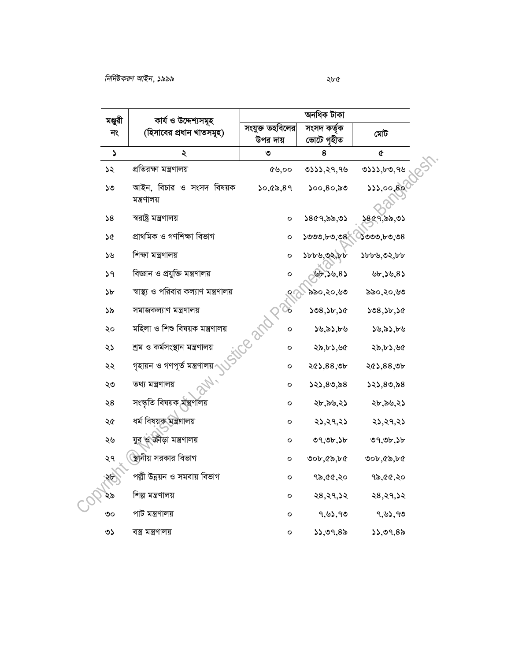|                       | কাৰ্য ও উদ্দেশ্যসমূহ                    | অনধিক টাকা                  |                           |               |
|-----------------------|-----------------------------------------|-----------------------------|---------------------------|---------------|
| মঞ্জুরী<br>নং         | (হিসাবের প্রধান খাতসমূহ)                | সংযুক্ত তহবিলের<br>উপর দায় | সংসদ কৰ্তৃক<br>ভোটে গৃহীত | মেটি          |
| $\blacktriangleright$ | ২                                       | ৩                           | 8                         | ¢             |
| ১২                    | প্ৰতিরক্ষা মন্ত্ৰণালয়                  | ৫৬,০০                       | 0.55, 29, 96              | 0.55, b.0, 96 |
| ১৩                    | আইন, বিচার ও সংসদ বিষয়ক<br>মন্ত্রণালয় | 50,000,89                   | ১০০,৪০,৯৩                 | 333,00,80     |
| 58                    | স্বরাষ্ট্র মন্ত্রণালয়                  | $\mathbf{o}$                | 5869,55,05                | ১৪৫৭,৯৯,৩১    |
| ১৫                    | প্ৰাথমিক ও গণশিক্ষা বিভাগ               | о                           | ১৩৩৩,৮৩,৩৪                | ১৩৩৩,৮৩,৩৪    |
| ১৬                    | শিক্ষা মন্ত্ৰণালয়                      | O                           | ১৮৮৬,৩২,৮৮                | ১৮৮৬,৩২,৮৮    |
| 59                    | বিজ্ঞান ও প্রযুক্তি মন্ত্রণালয়         | О                           | 85,50,85                  | b, 2b, 8      |
| ১৮                    | স্বাস্থ্য ও পরিবার কল্যাণ মন্ত্রণালয়   |                             | ৯৯০,২০,৬৩                 | ৯৯০,২০,৬৩     |
| ১৯                    | সমাজকল্যাণ মন্ত্ৰণালয়                  | $\infty$                    | 508,56,56                 | ১৩৪,১৮,১৫     |
| ২০                    | মহিলা ও শিশু বিষয়ক মন্ত্রণালয়         | Ce and K<br>O               | ১৬,৯১,৮৬                  | ১৬,৯১,৮৬      |
| ২১                    | শ্ৰম ও কৰ্মসংস্থান মন্ত্ৰণালয়          | о                           | ২৯,৮১,৬৫                  | ২৯,৮১,৬৫      |
| ২২                    | গৃহায়ন ও গণপূৰ্ত মন্ত্ৰণালয়           | о                           | ২৫১,৪৪,৩৮                 | ২৫১,৪৪,৩৮     |
| ২৩                    | তথ্য মন্ত্ৰণালয়                        | о                           | ১২১,৪৩,৯৪                 | ১২১,৪৩,৯৪     |
| ২৪                    | সংস্কৃতি বিষয়ক মন্ত্ৰণালয়             | о                           | ২৮,৯৬,২১                  | ২৮,৯৬,২১      |
| ২৫                    | ধৰ্ম বিষয়ক মন্ত্ৰণালয়                 | o                           | ২১,২৭,২১                  | २১,२१,२১      |
| ২৬                    | যুব ও ক্রীড়া মন্ত্রণালয়               | о                           | ৩৭,৩৮,১৮                  | ৩৭,৩৮,১৮      |
| ২৭                    | ষ্ঠানীয় সরকার বিভাগ                    | O                           | ৩০৮,৫৯,৮৫                 | ৩০৮,৫৯,৮৫     |
| ২৮                    | পল্লী উন্নয়ন ও সমবায় বিভাগ            | $\mathbf{o}$                | ৭৯,৫৫,২০                  | ৭৯,৫৫,২০      |
| ২৯                    | শিল্প মন্ত্ৰণালয়                       | о                           | ২৪,২৭,১২                  | २८,२१,১२      |
| ৩০                    | পাট মন্ত্ৰণালয়                         | O                           | ৭,৬১,৭৩                   | ৭,৬১,৭৩       |
| ৩১                    | বস্ত্ৰ মন্ত্ৰণালয়                      | O                           | 55,09,85                  | 55,09,85      |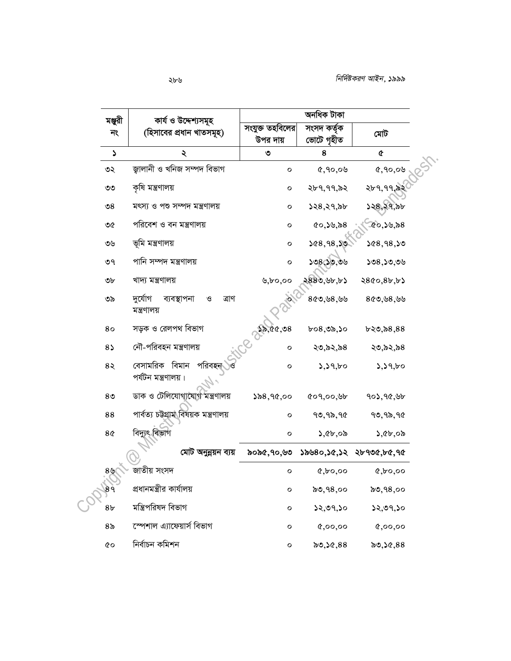|                | মঞ্জুরী<br>কাৰ্য ও উদ্দেশ্যসমূহ<br>(হিসাবের প্রধান খাতসমূহ)<br>নং | অনধিক টাকা                  |                           |                                    |
|----------------|-------------------------------------------------------------------|-----------------------------|---------------------------|------------------------------------|
|                |                                                                   | সংযুক্ত তহবিলের<br>উপর দায় | সংসদ কৰ্তৃক<br>ভোটে গৃহীত | মেট                                |
| S              | ২                                                                 | ৩                           | 8                         | ¢                                  |
| ৩২             | জ্গালানী ও খনিজ সম্পদ বিভাগ                                       | $\circ$                     | 0,90,08                   | 0,90,08                            |
| ৩৩             | কৃষি মন্ত্ৰণালয়                                                  | о                           | ২৮৭,৭৭,৯২                 | ২৮৭,৭৭,৯২                          |
| $\mathcal{S}$  | মৎস্য ও পশু সম্পদ মন্ত্ৰণালয়                                     | о                           | ১২৪,২৭,৯৮                 | ১২৪,২৭,৯৮                          |
| ৩৫             | পরিবেশ ও বন মন্ত্রণালয়                                           | о                           | (0, 50, 8)                | (0, 50, 8)                         |
| ৩৬             | ভূমি মন্ত্রণালয়                                                  | о                           | 268,98,50                 | 568,98,50                          |
| ৩৭             | পানি সম্পদ মন্ত্ৰণালয়                                            | О                           | ১৩৪,১৩,৩৬                 | ১৩৪,১৩,৩৬                          |
| ৩৮             | খাদ্য মন্ত্ৰণালয়                                                 | b, b0, 00                   | ২৪৪৩,৬৮,৮১                | 2800, 8b, b                        |
| ৩৯             | দুৰ্যোগ<br>ব্যবস্থাপনা<br>ত্ৰাণ<br>$\mathcal{O}$<br>মন্ত্রণালয়   |                             | 860,88,99                 | 80,98,99                           |
| 80             | সড়ক ও রেলপথ বিভাগ                                                | 28,00,08                    | $b$ ০৪,৩৯,১০              | b30, b8, 88                        |
| $8\sqrt{ }$    | নৌ-পরিবহন মন্ত্রণালয়                                             | о                           | ২৩,৯২,৯৪                  | ২৩,৯২,৯৪                           |
| 85             | বিমান<br>পরিবহন<br>বেসামরিক<br>পৰ্যটন মন্ত্ৰণালয়।                | O                           | 5,59,60                   | 5,59,60                            |
| 8 <sup>o</sup> | ডাক ও টেলিযোগাযোগ মন্ত্রণালয়                                     | 58,90,00                    | 609,00,96                 | 902, 90, 90                        |
| 88             | পাৰ্বত্য চট্টগ্ৰাম বিষয়ক মন্ত্ৰণালয়                             | О                           | 90,95,90                  | 90,95,90                           |
| 8 <sub>0</sub> | বিদ্যুৎ বিভাগ                                                     | $\mathbf{o}$                | ১,৫৮,০৯                   | $\lambda, c b, c b$                |
|                | মোট অনুন্নয়ন ব্যয়                                               |                             |                           | ৯০৯৫,৭০,৬৩ ১৯৬৪০,১৫,১২ ২৮৭৩৫,৮৫,৭৫ |
| 89             | জাতীয় সংসদ                                                       | O                           | $Q, b$ 0,00               | $Q, b$ 0,00                        |
| 89             | প্রধানমন্ত্রীর কার্যালয়                                          | $\circ$                     | ৯৩,৭৪,০০                  | ৯৩,৭৪,০০                           |
| 8 <sub>b</sub> | মন্ত্ৰিপরিষদ বিভাগ                                                | о                           | ১২,৩৭,১০                  | 52,09,50                           |
| 8 <sub>o</sub> | স্পেশাল এ্যাফেয়ার্স বিভাগ                                        | $\mathbf{o}$                | 0,00,00                   | 0,00,00                            |
| 6Q             | নিৰ্বাচন কমিশন                                                    | $\circ$                     | ৯৩,১৫,৪৪                  | ৯৩,১৫,৪৪                           |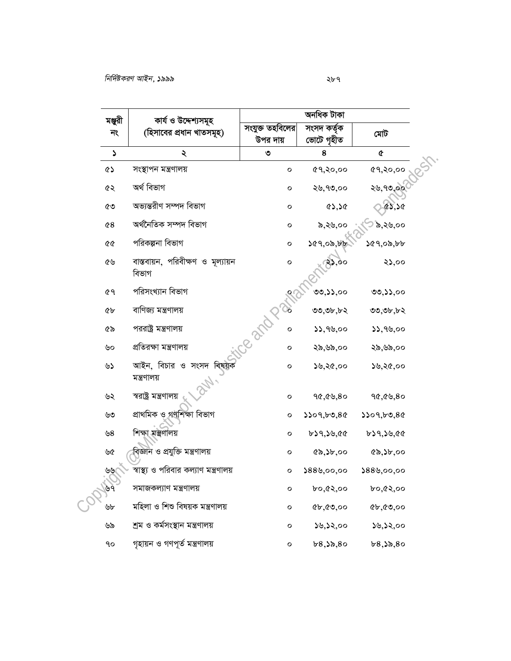| মঞ্জুরী               | কাৰ্য ও উদ্দেশ্যসমূহ                       | অনধিক টাকা                  |                           |                     |
|-----------------------|--------------------------------------------|-----------------------------|---------------------------|---------------------|
| নং                    | (হিসাবের প্রধান খাতসমূহ)                   | সংযুক্ত তহবিলের<br>উপর দায় | সংসদ কৰ্তৃক<br>ভোটে গৃহীত | মেট                 |
| $\blacktriangleright$ | ২                                          | ৩                           | 8                         | $\pmb{\mathcal{C}}$ |
| <b>CS</b>             | সংস্থাপন মন্ত্ৰণালয়                       | $\mathbf{o}$                | ৫৭,২০,০০                  | <b>৫৭,২০,০০</b>     |
| ৫২                    | অৰ্থ বিভাগ                                 | о                           | ২৬,৭৩,০০                  | ২৬,৭৩,০০            |
| ৫৩                    | অভ্যন্তরীণ সম্পদ বিভাগ                     | о                           | 83,58                     | ES, 50              |
| 68                    | অৰ্থনৈতিক সম্পদ বিভাগ                      | O                           | ৯,২৬,০০                   | ১৯,২৬,০০            |
| 66                    | পরিকল্পনা বিভাগ                            | о                           | ১৫৭,০৯,৮৮                 | 69,00,00            |
| ৫৬                    | বাস্তবায়ন, পরিবীক্ষণ ও মূল্যায়ন<br>বিভাগ | $\circ$                     | 83,00                     | ২১,০০               |
| ৫৭                    | পরিসংখ্যান বিভাগ                           |                             | ৩৩,১১,০০                  | ৩৩,১১,০০            |
| <b>Cb</b>             | বাণিজ্য মন্ত্ৰণালয়                        |                             | ৩৩,৩৮,৮২                  | ৩৩,৩৮,৮২            |
| ৫৯                    | পররাষ্ট্র মন্ত্রণালয়                      | Teambe<br>O                 | 33,99,00                  | 33,99,00            |
| ৬০                    | প্ৰতিরক্ষা মন্ত্ৰণালয়                     | о                           | ২৯,৬৯,০০                  | ২৯,৬৯,০০            |
| ৬১                    | আইন, বিচার ও সংসদ বিষয়ক<br>মন্ত্রণালয়    | о                           | ১৬,২৫,০০                  | ১৬,২৫,০০            |
| ৬২                    | স্বরাষ্ট্র মন্ত্রণালয়                     | $\mathbf{o}$                | 90,09,80                  | 90,09,80            |
| ৬৩                    | প্ৰাথমিক ও গণশিক্ষা বিভাগ                  | о                           | 5509, b0, 80              | 5509, b0, 80        |
| ৬8                    | শিক্ষা মন্ত্রণালয়                         | о                           | ৮১৭,১৬,৫৫                 | $b$ ১৭,১৬,৫৫        |
| ৬৫                    | বিজ্ঞান ও প্রযুক্তি মন্ত্রণালয়            | о                           | $\$$ \$,১৮,০০             | 8, 3b, 00           |
| لطالطا                | স্বাস্থ্য ও পরিবার কল্যাণ মন্ত্রণালয়      | $\circ$                     |                           | $$88$ ��,00,00      |
| $\mathcal{B}$         | সমাজকল্যাণ মন্ত্ৰণালয়                     | о                           | ৮০,৫২,০০                  | ৮০,৫২,০০            |
| ৬৮                    | মহিলা ও শিশু বিষয়ক মন্ত্রণালয়            | о                           | 86,00,00                  | 86,00,00            |
| ৬৯                    | শ্ৰম ও কৰ্মসংস্থান মন্ত্ৰণালয়             | о                           | ১৬,১২,০০                  | ১৬,১২,০০            |
| ٩o                    | গৃহায়ন ও গণপূৰ্ত মন্ত্ৰণালয়              | о                           | b8,3b,80                  | b8,3b,80            |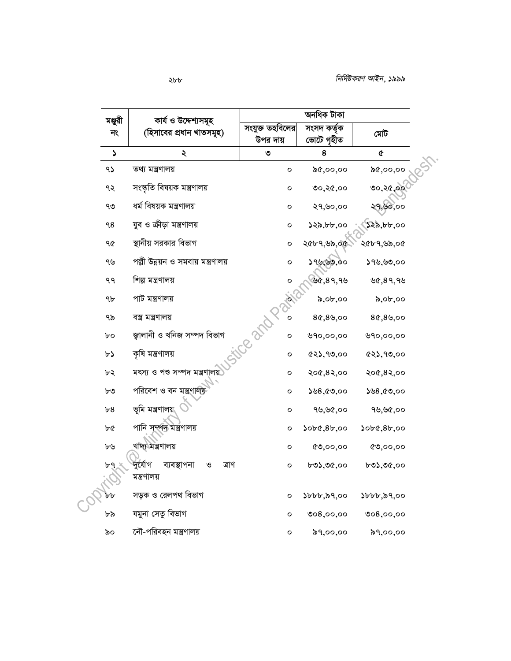| মঞ্জুরী               | কাৰ্য ও উদ্দেশ্যসমূহ                 | অনধিক টাকা                  |                            |                                   |
|-----------------------|--------------------------------------|-----------------------------|----------------------------|-----------------------------------|
| নং                    | (হিসাবের প্রধান খাতসমূহ)             | সংযুক্ত তহবিলের<br>উপর দায় | সংসদ কৰ্তৃক<br>ভোটে গৃহীত  | মোট                               |
| $\blacktriangleright$ | ২                                    | ৩                           | 8                          | ¢                                 |
| 95                    | তথ্য মন্ত্ৰণালয়                     | $\mathbf{o}$                | ৯৫,০০,০০                   | ৯৫,০০,০০                          |
| ৭২                    | সংস্কৃতি বিষয়ক মন্ত্ৰণালয়          | о                           | ৩০,২৫,০০                   | ७०,२৫,००                          |
| ৭৩                    | ধৰ্ম বিষয়ক মন্ত্ৰণালয়              | $\mathbf{o}$                | ২৭,৬০,০০                   | ২৭,৬০,০০                          |
| 98                    | যুব ও ক্রীড়া মন্ত্রণালয়            | о                           | ১২৯,৮৮,০০                  | $\mathcal{R}$ , $b$ $b$ , $o$ $o$ |
| ዓ৫                    | স্থানীয় সরকার বিভাগ                 | $\circ$                     | ২৫৮৭,৬৯,০৫                 | ২৫৮৭,৬৯,০৫                        |
| ৭৬                    | পল্লী উন্নয়ন ও সমবায় মন্ত্রণালয়   | O                           | ১৭৬,৬৩,০০                  | ১৭৬,৬৩,০০                         |
| ۹۹                    | শিল্প মন্ত্ৰণালয়                    | $\circ$                     | ৬৫,৪৭,৭৬                   | 89,99                             |
| 9 <sub>b</sub>        | পাট মন্ত্ৰণালয়                      | PAL                         | ৯,০৮,০০                    | $\delta$ ,0 $\delta$ ,00          |
| ৭৯                    | বস্ত্ৰ মন্ত্ৰণালয়                   | Ο                           | 8¢,89,00                   | 8¢,89,00                          |
| ৮০                    | জ্গালানী ও খনিজ সম্পদ বিভাগ          | ifce and P.<br>О            | ৬৭০,০০,০০                  | ৬৭০,০০,০০                         |
| ৮১                    | কৃষি মন্ত্ৰণালয়                     | о                           | (22, 90, 00)               | (22, 90, 00)                      |
| ৮২                    | মৎস্য ও পশু সম্পদ মন্ত্ৰণালয়        | о                           | २०৫,८२,००                  | २०৫,८२,००                         |
| ৮৩                    | পরিবেশ ও বন মন্ত্রণালয়              | о                           | ১৬৪,৫৩,০০                  | ১৬৪,৫৩,০০                         |
| b8                    | ভূমি মন্ত্রণালয়                     | $\mathbf{o}$                | ৭৬,৬৫,০০                   | ৭৬,৬৫,০০                          |
| ৮৫                    | পানি সম্পদ মন্ত্ৰণালয়               | о                           | 500(8b,00)                 | 500(80,00)                        |
| ৮৬                    | খাদ্য মন্ত্ৰণালয়                    | о                           | 0,00,00                    | 0,00,00                           |
| b9                    | দুৰ্যোগ<br>ব্যবস্থাপনা<br>ও<br>ত্ৰাণ | о                           | ৮৩১,৩৫,০০                  | ৮৩১,৩৫,০০                         |
|                       | মন্ত্রণালয়                          |                             |                            |                                   |
| bb                    | সড়ক ও রেলপথ বিভাগ                   | о                           | $\delta b b, \delta 9,$ 00 | ১৮৮৮,৯৭,০০                        |
| ৮৯                    | যমুনা সেতু বিভাগ                     | $\mathbf{o}$                | 008,00,00                  | ৩০ $8,$ ০০,০০                     |
| ৯০                    | নৌ-পরিবহন মন্ত্রণালয়                | O                           | ৯৭,০০,০০                   | ৯৭,০০,০০                          |